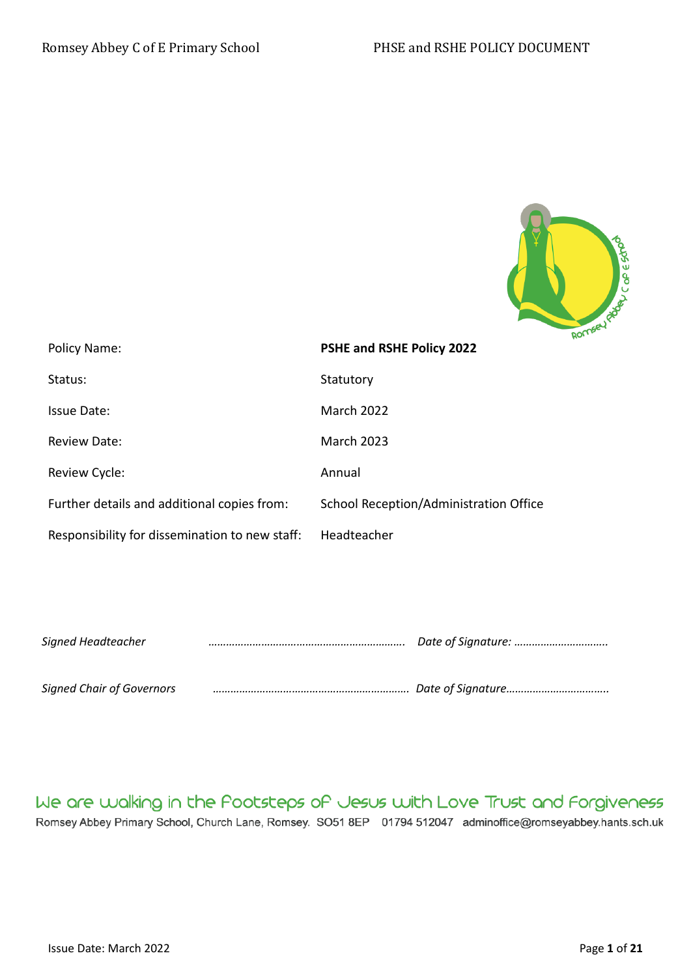

| Policy Name:                                   | PSHE and RSHE Policy 2022              | n- |
|------------------------------------------------|----------------------------------------|----|
| Status:                                        | Statutory                              |    |
| <b>Issue Date:</b>                             | <b>March 2022</b>                      |    |
| Review Date:                                   | <b>March 2023</b>                      |    |
| Review Cycle:                                  | Annual                                 |    |
| Further details and additional copies from:    | School Reception/Administration Office |    |
| Responsibility for dissemination to new staff: | Headteacher                            |    |

| Signed Headteacher               |  |
|----------------------------------|--|
|                                  |  |
| <b>Signed Chair of Governors</b> |  |

We are walking in the Pootsteps of Jesus with Love Trust and Forgiveness Romsey Abbey Primary School, Church Lane, Romsey. SO51 8EP 01794 512047 adminoffice@romseyabbey.hants.sch.uk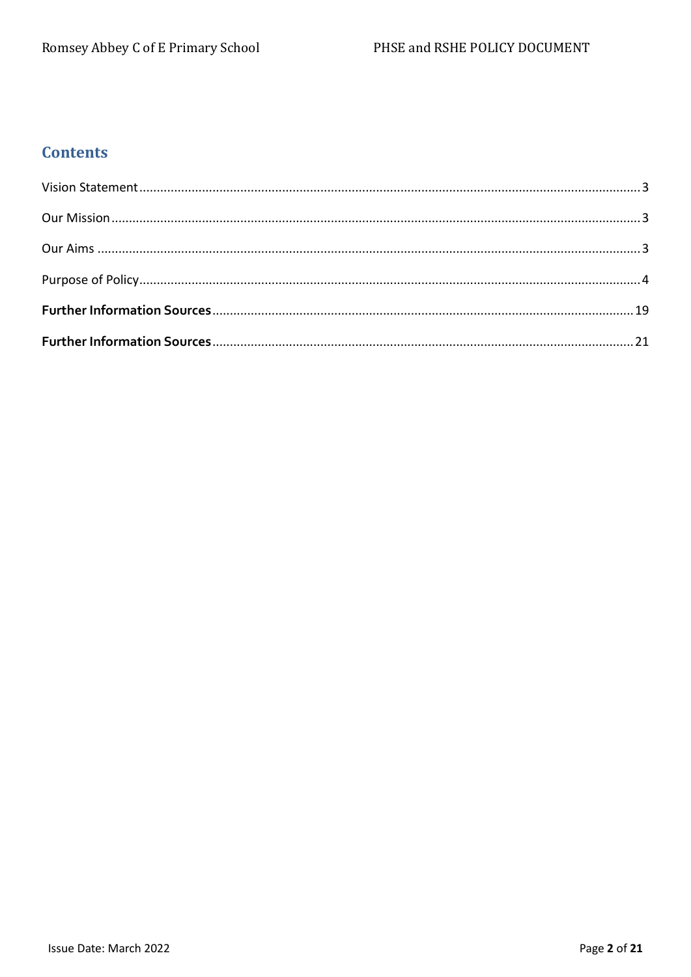# **Contents**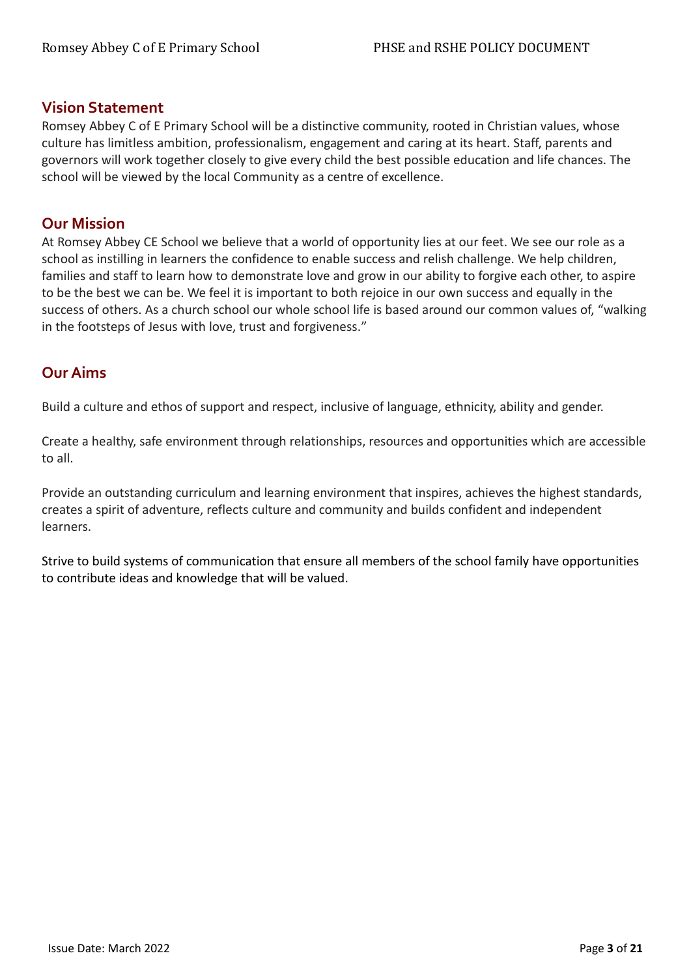## <span id="page-2-0"></span>**Vision Statement**

Romsey Abbey C of E Primary School will be a distinctive community, rooted in Christian values, whose culture has limitless ambition, professionalism, engagement and caring at its heart. Staff, parents and governors will work together closely to give every child the best possible education and life chances. The school will be viewed by the local Community as a centre of excellence.

## <span id="page-2-1"></span>**Our Mission**

At Romsey Abbey CE School we believe that a world of opportunity lies at our feet. We see our role as a school as instilling in learners the confidence to enable success and relish challenge. We help children, families and staff to learn how to demonstrate love and grow in our ability to forgive each other, to aspire to be the best we can be. We feel it is important to both rejoice in our own success and equally in the success of others. As a church school our whole school life is based around our common values of, "walking in the footsteps of Jesus with love, trust and forgiveness."

# <span id="page-2-2"></span>**Our Aims**

Build a culture and ethos of support and respect, inclusive of language, ethnicity, ability and gender.

Create a healthy, safe environment through relationships, resources and opportunities which are accessible to all.

Provide an outstanding curriculum and learning environment that inspires, achieves the highest standards, creates a spirit of adventure, reflects culture and community and builds confident and independent learners.

Strive to build systems of communication that ensure all members of the school family have opportunities to contribute ideas and knowledge that will be valued.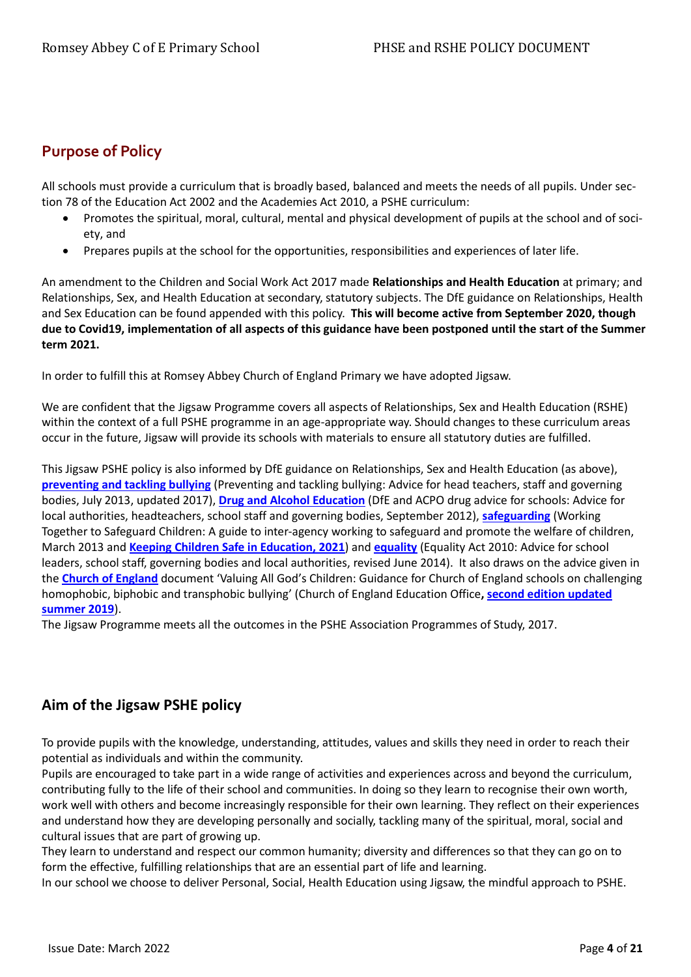# <span id="page-3-0"></span>**Purpose of Policy**

All schools must provide a curriculum that is broadly based, balanced and meets the needs of all pupils. Under section 78 of the Education Act 2002 and the Academies Act 2010, a PSHE curriculum:

- Promotes the spiritual, moral, cultural, mental and physical development of pupils at the school and of society, and
- Prepares pupils at the school for the opportunities, responsibilities and experiences of later life.

An amendment to the Children and Social Work Act 2017 made **Relationships and Health Education** at primary; and Relationships, Sex, and Health Education at secondary, statutory subjects. The DfE guidance on Relationships, Health and Sex Education can be found appended with this policy. **This will become active from September 2020, though due to Covid19, implementation of all aspects of this guidance have been postponed until the start of the Summer term 2021.**

In order to fulfill this at Romsey Abbey Church of England Primary we have adopted Jigsaw.

We are confident that the Jigsaw Programme covers all aspects of Relationships, Sex and Health Education (RSHE) within the context of a full PSHE programme in an age-appropriate way. Should changes to these curriculum areas occur in the future, Jigsaw will provide its schools with materials to ensure all statutory duties are fulfilled.

This Jigsaw PSHE policy is also informed by DfE guidance on Relationships, Sex and Health Education (as above), **[preventing and tackling bullying](http://www.education.gov.uk/aboutdfe/advice/f0076899/preventing-and-tackling-bullying)** (Preventing and tackling bullying: Advice for head teachers, staff and governing bodies, July 2013, updated 2017), **[Drug and Alcohol Education](https://www.gov.uk/government/publications/dfe-and-acpo-drug-advice-for-schools)** (DfE and ACPO drug advice for schools: Advice for local authorities, headteachers, school staff and governing bodies, September 2012), **[safeguarding](http://www.education.gov.uk/schools/guidanceandadvice?f_category=Safeguarding&page=1)** (Working Together to Safeguard Children: A guide to inter-agency working to safeguard and promote the welfare of children, March 2013 and **[Keeping Children Safe in Education, 2021](https://www.gov.uk/government/publications/keeping-children-safe-in-education--2)**) and **[equality](http://www.education.gov.uk/aboutdfe/advice/f00215460/equality-act-2010-departmental-advice)** (Equality Act 2010: Advice for school leaders, school staff, governing bodies and local authorities, revised June 2014). It also draws on the advice given in the **[Church of England](http://www.education.gov.uk/aboutdfe/advice/f00215460/equality-act-2010-departmental-advice)** document 'Valuing All God's Children: Guidance for Church of England schools on challenging homophobic, biphobic and transphobic bullying' (Church of England Education Office**[, second edition updated](https://www.churchofengland.org/sites/default/files/2019-07/Valuing%20All%20God%27s%20Children%20July%202019_0.pdf) [summer 2019](https://www.churchofengland.org/sites/default/files/2019-07/Valuing%20All%20God%27s%20Children%20July%202019_0.pdf)**).

The Jigsaw Programme meets all the outcomes in the PSHE Association Programmes of Study, 2017.

## **Aim of the Jigsaw PSHE policy**

To provide pupils with the knowledge, understanding, attitudes, values and skills they need in order to reach their potential as individuals and within the community.

Pupils are encouraged to take part in a wide range of activities and experiences across and beyond the curriculum, contributing fully to the life of their school and communities. In doing so they learn to recognise their own worth, work well with others and become increasingly responsible for their own learning. They reflect on their experiences and understand how they are developing personally and socially, tackling many of the spiritual, moral, social and cultural issues that are part of growing up.

They learn to understand and respect our common humanity; diversity and differences so that they can go on to form the effective, fulfilling relationships that are an essential part of life and learning.

In our school we choose to deliver Personal, Social, Health Education using Jigsaw, the mindful approach to PSHE.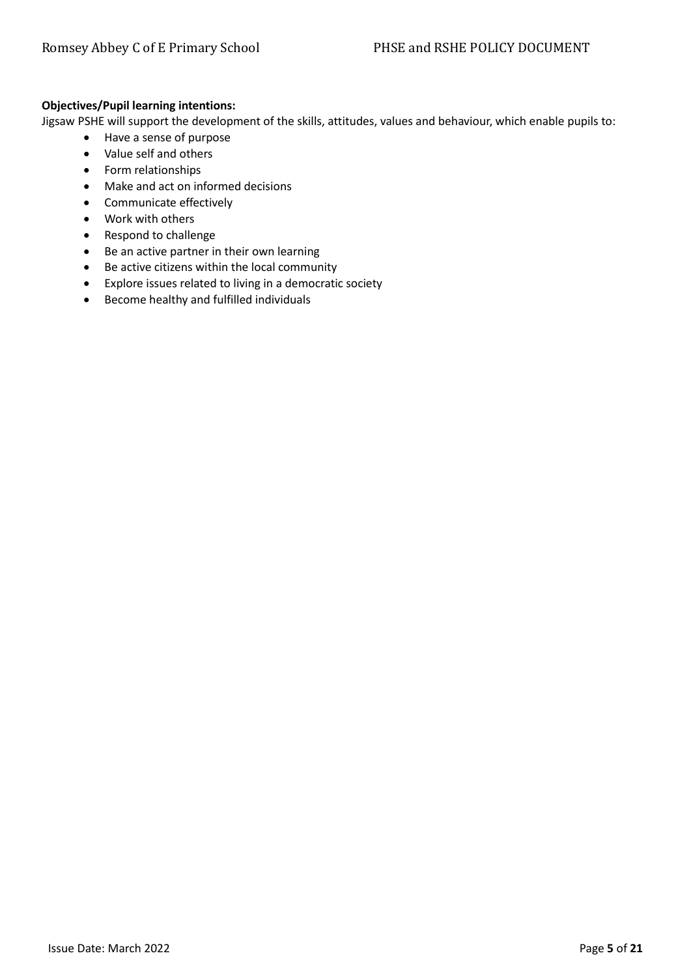## **Objectives/Pupil learning intentions:**

Jigsaw PSHE will support the development of the skills, attitudes, values and behaviour, which enable pupils to:

- Have a sense of purpose
- Value self and others
- Form relationships
- Make and act on informed decisions
- Communicate effectively
- Work with others
- Respond to challenge
- Be an active partner in their own learning
- Be active citizens within the local community
- Explore issues related to living in a democratic society
- Become healthy and fulfilled individuals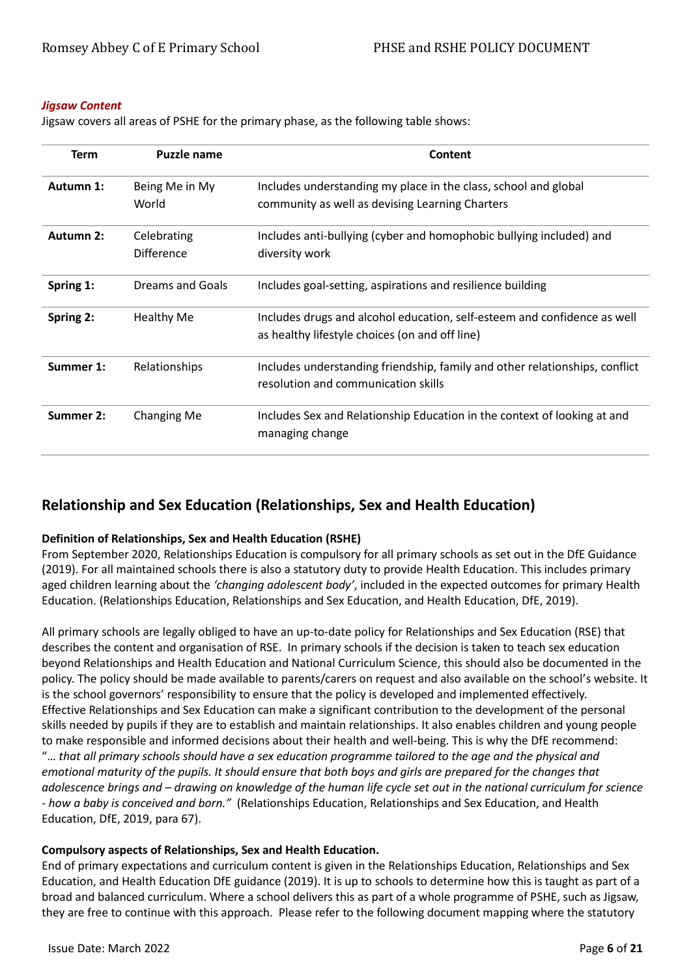#### *Jigsaw Content*

Jigsaw covers all areas of PSHE for the primary phase, as the following table shows:

| <b>Term</b> | Puzzle name                      | Content                                                                                                                    |
|-------------|----------------------------------|----------------------------------------------------------------------------------------------------------------------------|
| Autumn 1:   | Being Me in My<br>World          | Includes understanding my place in the class, school and global<br>community as well as devising Learning Charters         |
| Autumn 2:   | Celebrating<br><b>Difference</b> | Includes anti-bullying (cyber and homophobic bullying included) and<br>diversity work                                      |
| Spring 1:   | Dreams and Goals                 | Includes goal-setting, aspirations and resilience building                                                                 |
| Spring 2:   | <b>Healthy Me</b>                | Includes drugs and alcohol education, self-esteem and confidence as well<br>as healthy lifestyle choices (on and off line) |
| Summer 1:   | Relationships                    | Includes understanding friendship, family and other relationships, conflict<br>resolution and communication skills         |
| Summer 2:   | <b>Changing Me</b>               | Includes Sex and Relationship Education in the context of looking at and<br>managing change                                |

# **Relationship and Sex Education (Relationships, Sex and Health Education)**

#### **Definition of Relationships, Sex and Health Education (RSHE)**

From September 2020, Relationships Education is compulsory for all primary schools as set out in the DfE Guidance (2019). For all maintained schools there is also a statutory duty to provide Health Education. This includes primary aged children learning about the *'changing adolescent body'*, included in the expected outcomes for primary Health Education. (Relationships Education, Relationships and Sex Education, and Health Education, DfE, 2019).

All primary schools are legally obliged to have an up-to-date policy for Relationships and Sex Education (RSE) that describes the content and organisation of RSE. In primary schools if the decision is taken to teach sex education beyond Relationships and Health Education and National Curriculum Science, this should also be documented in the policy. The policy should be made available to parents/carers on request and also available on the school's website. It is the school governors' responsibility to ensure that the policy is developed and implemented effectively. Effective Relationships and Sex Education can make a significant contribution to the development of the personal skills needed by pupils if they are to establish and maintain relationships. It also enables children and young people to make responsible and informed decisions about their health and well-being. This is why the DfE recommend: "… *that all primary schools should have a sex education programme tailored to the age and the physical and emotional maturity of the pupils. It should ensure that both boys and girls are prepared for the changes that adolescence brings and – drawing on knowledge of the human life cycle set out in the national curriculum for science - how a baby is conceived and born."* (Relationships Education, Relationships and Sex Education, and Health Education, DfE, 2019, para 67).

## **Compulsory aspects of Relationships, Sex and Health Education.**

End of primary expectations and curriculum content is given in the Relationships Education, Relationships and Sex Education, and Health Education DfE guidance (2019). It is up to schools to determine how this is taught as part of a broad and balanced curriculum. Where a school delivers this as part of a whole programme of PSHE, such as Jigsaw, they are free to continue with this approach. Please refer to the following document mapping where the statutory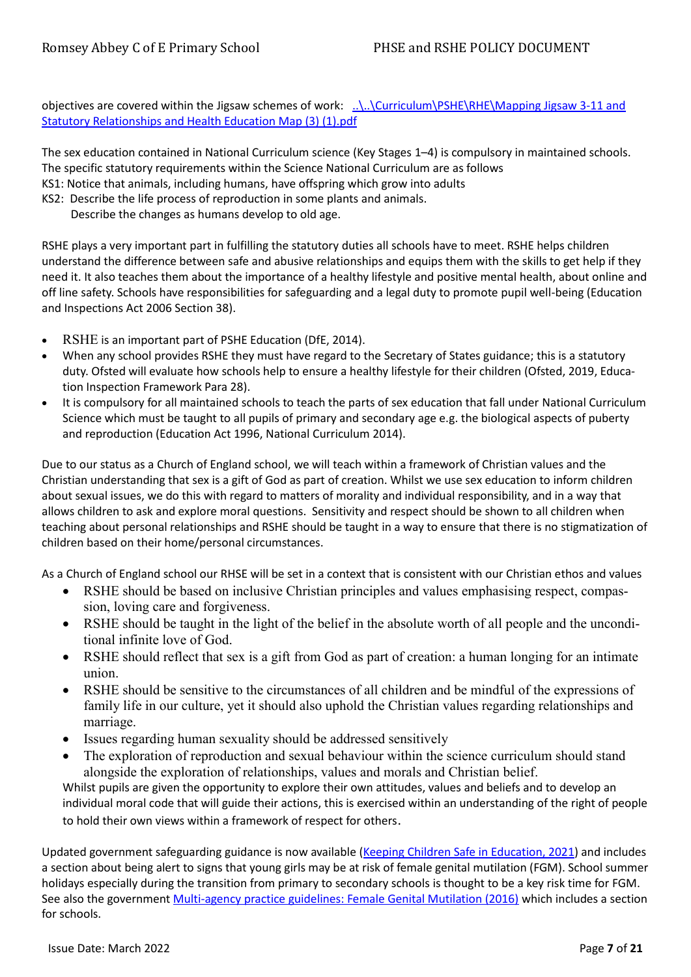objectives are covered within the Jigsaw schemes of work: ...\..\Curriculum\PSHE\RHE\Mapping Jigsaw 3-11 and [Statutory Relationships and Health Education Map \(3\) \(1\).pdf](file:///G:/Shared%20drives/Romsey%20Abbey/Curriculum/PSHE/RHE/Mapping%20Jigsaw%203-11%20and%20Statutory%20Relationships%20and%20Health%20Education%20Map%20(3)%20(1).pdf)

The sex education contained in National Curriculum science (Key Stages 1–4) is compulsory in maintained schools. The specific statutory requirements within the Science National Curriculum are as follows

- KS1: Notice that animals, including humans, have offspring which grow into adults
- KS2: Describe the life process of reproduction in some plants and animals.
	- Describe the changes as humans develop to old age.

RSHE plays a very important part in fulfilling the statutory duties all schools have to meet. RSHE helps children understand the difference between safe and abusive relationships and equips them with the skills to get help if they need it. It also teaches them about the importance of a healthy lifestyle and positive mental health, about online and off line safety. Schools have responsibilities for safeguarding and a legal duty to promote pupil well-being (Education and Inspections Act 2006 Section 38).

- RSHE is an important part of PSHE Education (DfE, 2014).
- When any school provides RSHE they must have regard to the Secretary of States guidance; this is a statutory duty. Ofsted will evaluate how schools help to ensure a healthy lifestyle for their children (Ofsted, 2019, Education Inspection Framework Para 28).
- It is compulsory for all maintained schools to teach the parts of sex education that fall under National Curriculum Science which must be taught to all pupils of primary and secondary age e.g. the biological aspects of puberty and reproduction (Education Act 1996, National Curriculum 2014).

Due to our status as a Church of England school, we will teach within a framework of Christian values and the Christian understanding that sex is a gift of God as part of creation. Whilst we use sex education to inform children about sexual issues, we do this with regard to matters of morality and individual responsibility, and in a way that allows children to ask and explore moral questions. Sensitivity and respect should be shown to all children when teaching about personal relationships and RSHE should be taught in a way to ensure that there is no stigmatization of children based on their home/personal circumstances.

As a Church of England school our RHSE will be set in a context that is consistent with our Christian ethos and values

- RSHE should be based on inclusive Christian principles and values emphasising respect, compassion, loving care and forgiveness.
- RSHE should be taught in the light of the belief in the absolute worth of all people and the unconditional infinite love of God.
- RSHE should reflect that sex is a gift from God as part of creation: a human longing for an intimate union.
- RSHE should be sensitive to the circumstances of all children and be mindful of the expressions of family life in our culture, yet it should also uphold the Christian values regarding relationships and marriage.
- Issues regarding human sexuality should be addressed sensitively
- The exploration of reproduction and sexual behaviour within the science curriculum should stand alongside the exploration of relationships, values and morals and Christian belief.

Whilst pupils are given the opportunity to explore their own attitudes, values and beliefs and to develop an individual moral code that will guide their actions, this is exercised within an understanding of the right of people to hold their own views within a framework of respect for others.

Updated government safeguarding guidance is now available [\(Keeping Children Safe in Education, 2021\)](https://www.gov.uk/government/publications/keeping-children-safe-in-education--2) and includes a section about being alert to signs that young girls may be at risk of female genital mutilation (FGM). School summer holidays especially during the transition from primary to secondary schools is thought to be a key risk time for FGM. See also the government [Multi-agency practice guidelines: Female Genital Mutilation \(2016\)](https://www.gov.uk/government/publications/multi-agency-statutory-guidance-on-female-genital-mutilation) which includes a section for schools.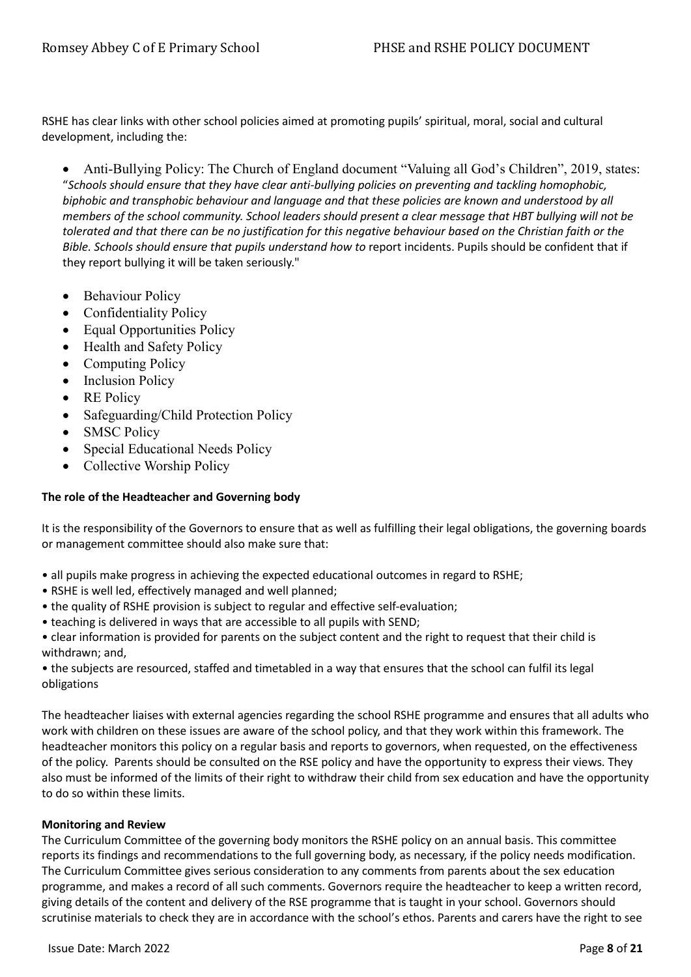RSHE has clear links with other school policies aimed at promoting pupils' spiritual, moral, social and cultural development, including the:

• Anti-Bullying Policy: The Church of England document "Valuing all God's Children", 2019, states: "*Schools should ensure that they have clear anti-bullying policies on preventing and tackling homophobic, biphobic and transphobic behaviour and language and that these policies are known and understood by all members of the school community. School leaders should present a clear message that HBT bullying will not be tolerated and that there can be no justification for this negative behaviour based on the Christian faith or the Bible. Schools should ensure that pupils understand how to* report incidents. Pupils should be confident that if they report bullying it will be taken seriously."

- Behaviour Policy
- Confidentiality Policy
- Equal Opportunities Policy
- Health and Safety Policy
- Computing Policy
- Inclusion Policy
- RE Policy
- Safeguarding/Child Protection Policy
- SMSC Policy
- Special Educational Needs Policy
- Collective Worship Policy

## **The role of the Headteacher and Governing body**

It is the responsibility of the Governors to ensure that as well as fulfilling their legal obligations, the governing boards or management committee should also make sure that:

- all pupils make progress in achieving the expected educational outcomes in regard to RSHE;
- RSHE is well led, effectively managed and well planned;
- the quality of RSHE provision is subject to regular and effective self-evaluation;
- teaching is delivered in ways that are accessible to all pupils with SEND;
- clear information is provided for parents on the subject content and the right to request that their child is withdrawn; and,

• the subjects are resourced, staffed and timetabled in a way that ensures that the school can fulfil its legal obligations

The headteacher liaises with external agencies regarding the school RSHE programme and ensures that all adults who work with children on these issues are aware of the school policy, and that they work within this framework. The headteacher monitors this policy on a regular basis and reports to governors, when requested, on the effectiveness of the policy. Parents should be consulted on the RSE policy and have the opportunity to express their views. They also must be informed of the limits of their right to withdraw their child from sex education and have the opportunity to do so within these limits.

#### **Monitoring and Review**

The Curriculum Committee of the governing body monitors the RSHE policy on an annual basis. This committee reports its findings and recommendations to the full governing body, as necessary, if the policy needs modification. The Curriculum Committee gives serious consideration to any comments from parents about the sex education programme, and makes a record of all such comments. Governors require the headteacher to keep a written record, giving details of the content and delivery of the RSE programme that is taught in your school. Governors should scrutinise materials to check they are in accordance with the school's ethos. Parents and carers have the right to see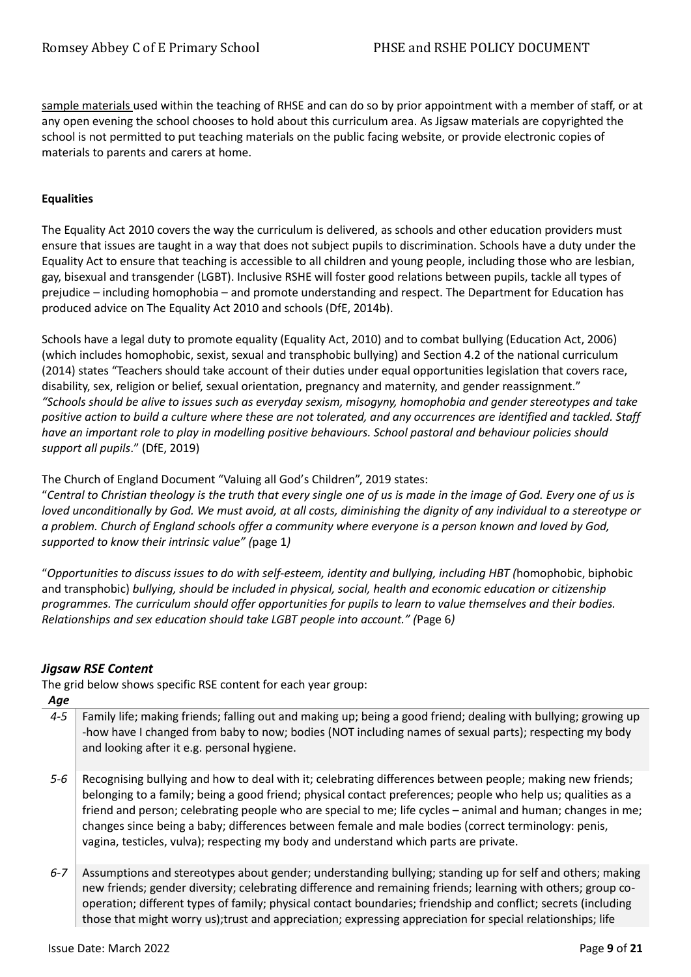sample materials used within the teaching of RHSE and can do so by prior appointment with a member of staff, or at any open evening the school chooses to hold about this curriculum area. As Jigsaw materials are copyrighted the school is not permitted to put teaching materials on the public facing website, or provide electronic copies of materials to parents and carers at home.

## **Equalities**

The Equality Act 2010 covers the way the curriculum is delivered, as schools and other education providers must ensure that issues are taught in a way that does not subject pupils to discrimination. Schools have a duty under the Equality Act to ensure that teaching is accessible to all children and young people, including those who are lesbian, gay, bisexual and transgender (LGBT). Inclusive RSHE will foster good relations between pupils, tackle all types of prejudice – including homophobia – and promote understanding and respect. The Department for Education has produced advice on The Equality Act 2010 and schools (DfE, 2014b).

Schools have a legal duty to promote equality (Equality Act, 2010) and to combat bullying (Education Act, 2006) (which includes homophobic, sexist, sexual and transphobic bullying) and Section 4.2 of the national curriculum (2014) states "Teachers should take account of their duties under equal opportunities legislation that covers race, disability, sex, religion or belief, sexual orientation, pregnancy and maternity, and gender reassignment." *"Schools should be alive to issues such as everyday sexism, misogyny, homophobia and gender stereotypes and take positive action to build a culture where these are not tolerated, and any occurrences are identified and tackled. Staff have an important role to play in modelling positive behaviours. School pastoral and behaviour policies should support all pupils*." (DfE, 2019)

The Church of England Document "Valuing all God's Children", 2019 states:

"*Central to Christian theology is the truth that every single one of us is made in the image of God. Every one of us is loved unconditionally by God. We must avoid, at all costs, diminishing the dignity of any individual to a stereotype or a problem. Church of England schools offer a community where everyone is a person known and loved by God, supported to know their intrinsic value" (*page 1*)*

"*Opportunities to discuss issues to do with self-esteem, identity and bullying, including HBT (*homophobic, biphobic and transphobic) *bullying, should be included in physical, social, health and economic education or citizenship programmes. The curriculum should offer opportunities for pupils to learn to value themselves and their bodies. Relationships and sex education should take LGBT people into account." (*Page 6*)*

## *Jigsaw RSE Content*

The grid below shows specific RSE content for each year group:

| Age     |                                                                                                                                                                                                                                                                                                                                                                                                                                                                                                                                          |
|---------|------------------------------------------------------------------------------------------------------------------------------------------------------------------------------------------------------------------------------------------------------------------------------------------------------------------------------------------------------------------------------------------------------------------------------------------------------------------------------------------------------------------------------------------|
| $4 - 5$ | Family life; making friends; falling out and making up; being a good friend; dealing with bullying; growing up<br>-how have I changed from baby to now; bodies (NOT including names of sexual parts); respecting my body<br>and looking after it e.g. personal hygiene.                                                                                                                                                                                                                                                                  |
| $5 - 6$ | Recognising bullying and how to deal with it; celebrating differences between people; making new friends;<br>belonging to a family; being a good friend; physical contact preferences; people who help us; qualities as a<br>friend and person; celebrating people who are special to me; life cycles - animal and human; changes in me;<br>changes since being a baby; differences between female and male bodies (correct terminology: penis,<br>vagina, testicles, vulva); respecting my body and understand which parts are private. |
| $6 - 7$ | Assumptions and stereotypes about gender; understanding bullying; standing up for self and others; making<br>new friends; gender diversity; celebrating difference and remaining friends; learning with others; group co-<br>operation; different types of family; physical contact boundaries; friendship and conflict; secrets (including                                                                                                                                                                                              |

those that might worry us);trust and appreciation; expressing appreciation for special relationships; life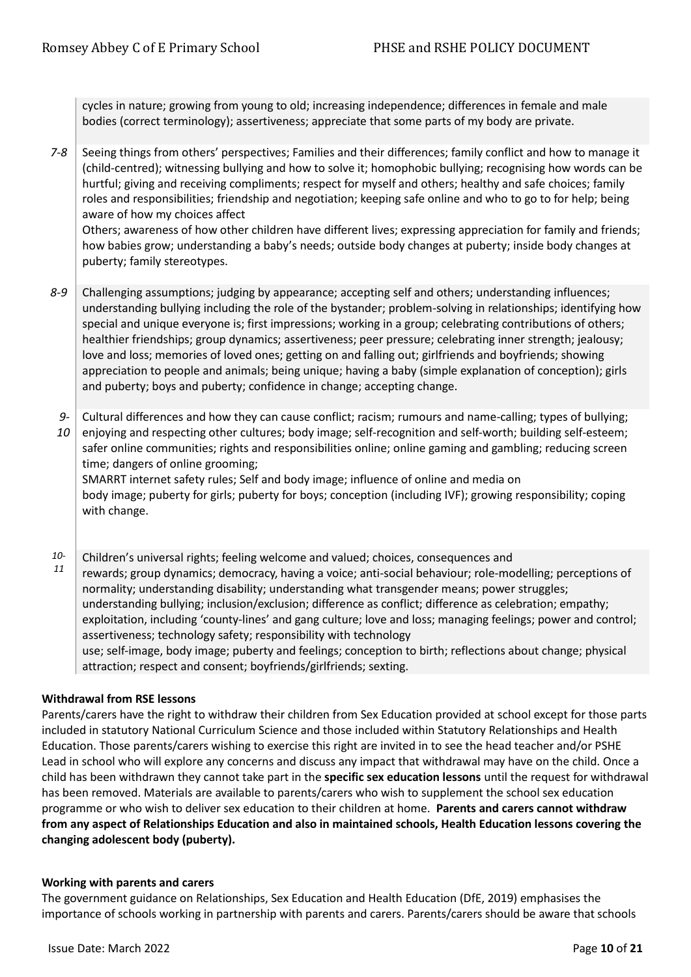cycles in nature; growing from young to old; increasing independence; differences in female and male bodies (correct terminology); assertiveness; appreciate that some parts of my body are private.

*7-8* Seeing things from others' perspectives; Families and their differences; family conflict and how to manage it (child-centred); witnessing bullying and how to solve it; homophobic bullying; recognising how words can be hurtful; giving and receiving compliments; respect for myself and others; healthy and safe choices; family roles and responsibilities; friendship and negotiation; keeping safe online and who to go to for help; being aware of how my choices affect

Others; awareness of how other children have different lives; expressing appreciation for family and friends; how babies grow; understanding a baby's needs; outside body changes at puberty; inside body changes at puberty; family stereotypes.

- *8-9* Challenging assumptions; judging by appearance; accepting self and others; understanding influences; understanding bullying including the role of the bystander; problem-solving in relationships; identifying how special and unique everyone is; first impressions; working in a group; celebrating contributions of others; healthier friendships; group dynamics; assertiveness; peer pressure; celebrating inner strength; jealousy; love and loss; memories of loved ones; getting on and falling out; girlfriends and boyfriends; showing appreciation to people and animals; being unique; having a baby (simple explanation of conception); girls and puberty; boys and puberty; confidence in change; accepting change.
	- *9-* Cultural differences and how they can cause conflict; racism; rumours and name-calling; types of bullying;

*10* enjoying and respecting other cultures; body image; self-recognition and self-worth; building self-esteem; safer online communities; rights and responsibilities online; online gaming and gambling; reducing screen time; dangers of online grooming; SMARRT internet safety rules; Self and body image; influence of online and media on

body image; puberty for girls; puberty for boys; conception (including IVF); growing responsibility; coping with change.

- *10-* Children's universal rights; feeling welcome and valued; choices, consequences and
- *11* rewards; group dynamics; democracy, having a voice; anti-social behaviour; role-modelling; perceptions of normality; understanding disability; understanding what transgender means; power struggles; understanding bullying; inclusion/exclusion; difference as conflict; difference as celebration; empathy; exploitation, including 'county-lines' and gang culture; love and loss; managing feelings; power and control; assertiveness; technology safety; responsibility with technology use; self-image, body image; puberty and feelings; conception to birth; reflections about change; physical attraction; respect and consent; boyfriends/girlfriends; sexting.

## **Withdrawal from RSE lessons**

Parents/carers have the right to withdraw their children from Sex Education provided at school except for those parts included in statutory National Curriculum Science and those included within Statutory Relationships and Health Education. Those parents/carers wishing to exercise this right are invited in to see the head teacher and/or PSHE Lead in school who will explore any concerns and discuss any impact that withdrawal may have on the child. Once a child has been withdrawn they cannot take part in the **specific sex education lessons** until the request for withdrawal has been removed. Materials are available to parents/carers who wish to supplement the school sex education programme or who wish to deliver sex education to their children at home. **Parents and carers cannot withdraw from any aspect of Relationships Education and also in maintained schools, Health Education lessons covering the changing adolescent body (puberty).**

#### **Working with parents and carers**

The government guidance on Relationships, Sex Education and Health Education (DfE, 2019) emphasises the importance of schools working in partnership with parents and carers. Parents/carers should be aware that schools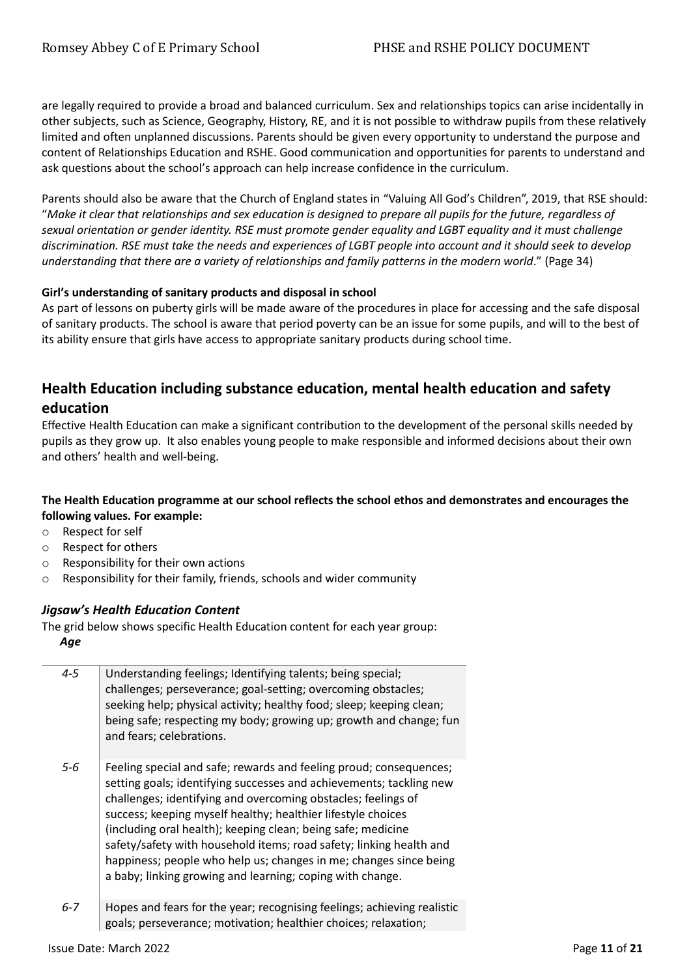are legally required to provide a broad and balanced curriculum. Sex and relationships topics can arise incidentally in other subjects, such as Science, Geography, History, RE, and it is not possible to withdraw pupils from these relatively limited and often unplanned discussions. Parents should be given every opportunity to understand the purpose and content of Relationships Education and RSHE. Good communication and opportunities for parents to understand and ask questions about the school's approach can help increase confidence in the curriculum.

Parents should also be aware that the Church of England states in "Valuing All God's Children", 2019, that RSE should: "*Make it clear that relationships and sex education is designed to prepare all pupils for the future, regardless of sexual orientation or gender identity. RSE must promote gender equality and LGBT equality and it must challenge discrimination. RSE must take the needs and experiences of LGBT people into account and it should seek to develop understanding that there are a variety of relationships and family patterns in the modern world*." (Page 34)

## **Girl's understanding of sanitary products and disposal in school**

As part of lessons on puberty girls will be made aware of the procedures in place for accessing and the safe disposal of sanitary products. The school is aware that period poverty can be an issue for some pupils, and will to the best of its ability ensure that girls have access to appropriate sanitary products during school time.

# **Health Education including substance education, mental health education and safety education**

Effective Health Education can make a significant contribution to the development of the personal skills needed by pupils as they grow up. It also enables young people to make responsible and informed decisions about their own and others' health and well-being.

## **The Health Education programme at our school reflects the school ethos and demonstrates and encourages the following values. For example:**

- o Respect for self
- o Respect for others
- o Responsibility for their own actions
- o Responsibility for their family, friends, schools and wider community

## *Jigsaw's Health Education Content*

The grid below shows specific Health Education content for each year group: *Age*

| $4 - 5$ | Understanding feelings; Identifying talents; being special;<br>challenges; perseverance; goal-setting; overcoming obstacles;<br>seeking help; physical activity; healthy food; sleep; keeping clean;<br>being safe; respecting my body; growing up; growth and change; fun<br>and fears; celebrations.                                                                                                                                                                                                                                              |
|---------|-----------------------------------------------------------------------------------------------------------------------------------------------------------------------------------------------------------------------------------------------------------------------------------------------------------------------------------------------------------------------------------------------------------------------------------------------------------------------------------------------------------------------------------------------------|
| $5-6$   | Feeling special and safe; rewards and feeling proud; consequences;<br>setting goals; identifying successes and achievements; tackling new<br>challenges; identifying and overcoming obstacles; feelings of<br>success; keeping myself healthy; healthier lifestyle choices<br>(including oral health); keeping clean; being safe; medicine<br>safety/safety with household items; road safety; linking health and<br>happiness; people who help us; changes in me; changes since being<br>a baby; linking growing and learning; coping with change. |
| $6 - 7$ | Hopes and fears for the year; recognising feelings; achieving realistic                                                                                                                                                                                                                                                                                                                                                                                                                                                                             |

goals; perseverance; motivation; healthier choices; relaxation;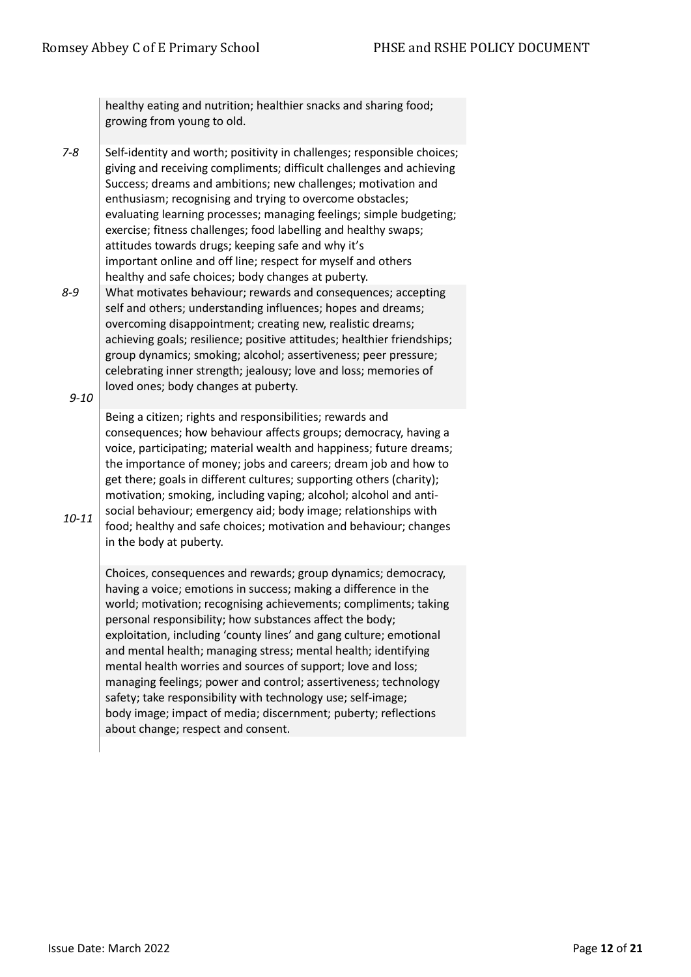healthy eating and nutrition; healthier snacks and sharing food; growing from young to old.

- $7-8$  Self-identity and worth; positivity in challenges; responsible choices; giving and receiving compliments; difficult challenges and achieving Success; dreams and ambitions; new challenges; motivation and enthusiasm; recognising and trying to overcome obstacles; evaluating learning processes; managing feelings; simple budgeting; exercise; fitness challenges; food labelling and healthy swaps; attitudes towards drugs; keeping safe and why it's important online and off line; respect for myself and others healthy and safe choices; body changes at puberty.
- *8-9 9-10* What motivates behaviour; rewards and consequences; accepting self and others; understanding influences; hopes and dreams; overcoming disappointment; creating new, realistic dreams; achieving goals; resilience; positive attitudes; healthier friendships; group dynamics; smoking; alcohol; assertiveness; peer pressure; celebrating inner strength; jealousy; love and loss; memories of loved ones; body changes at puberty.

Being a citizen; rights and responsibilities; rewards and consequences; how behaviour affects groups; democracy, having a voice, participating; material wealth and happiness; future dreams; the importance of money; jobs and careers; dream job and how to get there; goals in different cultures; supporting others (charity); motivation; smoking, including vaping; alcohol; alcohol and antisocial behaviour; emergency aid; body image; relationships with food; healthy and safe choices; motivation and behaviour; changes in the body at puberty.

Choices, consequences and rewards; group dynamics; democracy, having a voice; emotions in success; making a difference in the world; motivation; recognising achievements; compliments; taking personal responsibility; how substances affect the body; exploitation, including 'county lines' and gang culture; emotional and mental health; managing stress; mental health; identifying mental health worries and sources of support; love and loss; managing feelings; power and control; assertiveness; technology safety; take responsibility with technology use; self-image; body image; impact of media; discernment; puberty; reflections about change; respect and consent.

*10-11*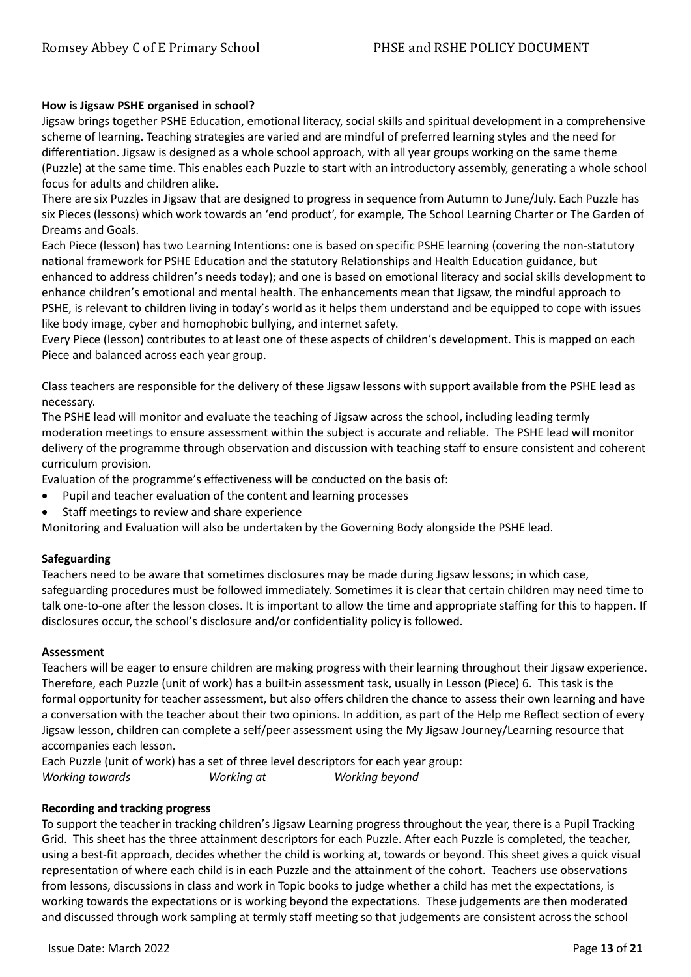#### **How is Jigsaw PSHE organised in school?**

Jigsaw brings together PSHE Education, emotional literacy, social skills and spiritual development in a comprehensive scheme of learning. Teaching strategies are varied and are mindful of preferred learning styles and the need for differentiation. Jigsaw is designed as a whole school approach, with all year groups working on the same theme (Puzzle) at the same time. This enables each Puzzle to start with an introductory assembly, generating a whole school focus for adults and children alike.

There are six Puzzles in Jigsaw that are designed to progress in sequence from Autumn to June/July. Each Puzzle has six Pieces (lessons) which work towards an 'end product', for example, The School Learning Charter or The Garden of Dreams and Goals.

Each Piece (lesson) has two Learning Intentions: one is based on specific PSHE learning (covering the non-statutory national framework for PSHE Education and the statutory Relationships and Health Education guidance, but enhanced to address children's needs today); and one is based on emotional literacy and social skills development to enhance children's emotional and mental health. The enhancements mean that Jigsaw, the mindful approach to PSHE, is relevant to children living in today's world as it helps them understand and be equipped to cope with issues like body image, cyber and homophobic bullying, and internet safety.

Every Piece (lesson) contributes to at least one of these aspects of children's development. This is mapped on each Piece and balanced across each year group.

Class teachers are responsible for the delivery of these Jigsaw lessons with support available from the PSHE lead as necessary.

The PSHE lead will monitor and evaluate the teaching of Jigsaw across the school, including leading termly moderation meetings to ensure assessment within the subject is accurate and reliable. The PSHE lead will monitor delivery of the programme through observation and discussion with teaching staff to ensure consistent and coherent curriculum provision.

Evaluation of the programme's effectiveness will be conducted on the basis of:

- Pupil and teacher evaluation of the content and learning processes
- Staff meetings to review and share experience

Monitoring and Evaluation will also be undertaken by the Governing Body alongside the PSHE lead.

#### **Safeguarding**

Teachers need to be aware that sometimes disclosures may be made during Jigsaw lessons; in which case, safeguarding procedures must be followed immediately. Sometimes it is clear that certain children may need time to talk one-to-one after the lesson closes. It is important to allow the time and appropriate staffing for this to happen. If disclosures occur, the school's disclosure and/or confidentiality policy is followed.

#### **Assessment**

Teachers will be eager to ensure children are making progress with their learning throughout their Jigsaw experience. Therefore, each Puzzle (unit of work) has a built-in assessment task, usually in Lesson (Piece) 6. This task is the formal opportunity for teacher assessment, but also offers children the chance to assess their own learning and have a conversation with the teacher about their two opinions. In addition, as part of the Help me Reflect section of every Jigsaw lesson, children can complete a self/peer assessment using the My Jigsaw Journey/Learning resource that accompanies each lesson.

Each Puzzle (unit of work) has a set of three level descriptors for each year group: *Working towards Working at Working beyond*

#### **Recording and tracking progress**

To support the teacher in tracking children's Jigsaw Learning progress throughout the year, there is a Pupil Tracking Grid. This sheet has the three attainment descriptors for each Puzzle. After each Puzzle is completed, the teacher, using a best-fit approach, decides whether the child is working at, towards or beyond. This sheet gives a quick visual representation of where each child is in each Puzzle and the attainment of the cohort. Teachers use observations from lessons, discussions in class and work in Topic books to judge whether a child has met the expectations, is working towards the expectations or is working beyond the expectations. These judgements are then moderated and discussed through work sampling at termly staff meeting so that judgements are consistent across the school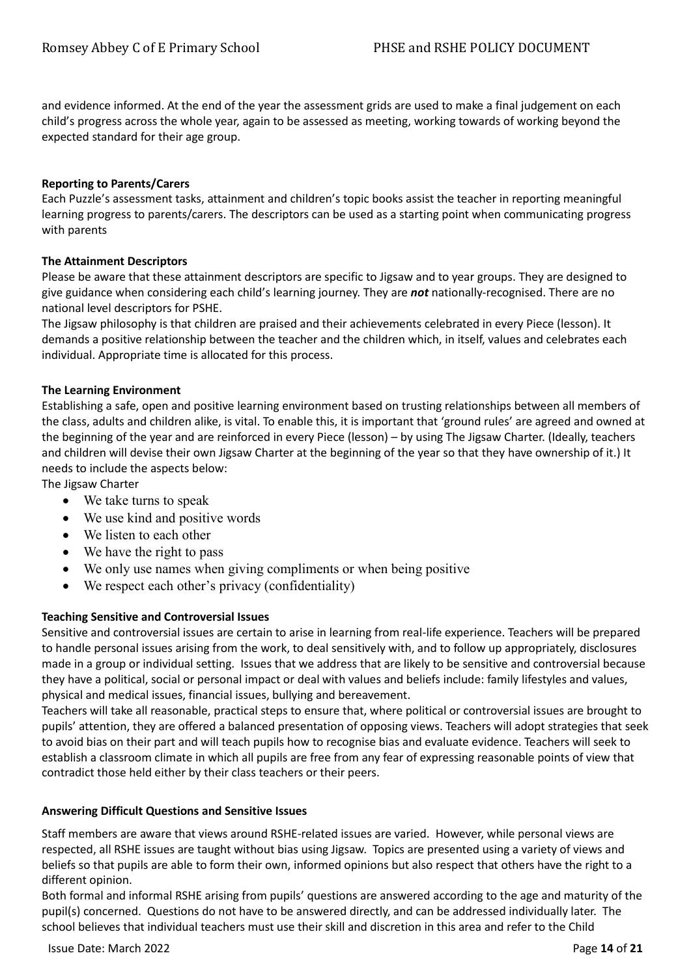and evidence informed. At the end of the year the assessment grids are used to make a final judgement on each child's progress across the whole year, again to be assessed as meeting, working towards of working beyond the expected standard for their age group.

#### **Reporting to Parents/Carers**

Each Puzzle's assessment tasks, attainment and children's topic books assist the teacher in reporting meaningful learning progress to parents/carers. The descriptors can be used as a starting point when communicating progress with parents

#### **The Attainment Descriptors**

Please be aware that these attainment descriptors are specific to Jigsaw and to year groups. They are designed to give guidance when considering each child's learning journey. They are *not* nationally-recognised. There are no national level descriptors for PSHE.

The Jigsaw philosophy is that children are praised and their achievements celebrated in every Piece (lesson). It demands a positive relationship between the teacher and the children which, in itself, values and celebrates each individual. Appropriate time is allocated for this process.

#### **The Learning Environment**

Establishing a safe, open and positive learning environment based on trusting relationships between all members of the class, adults and children alike, is vital. To enable this, it is important that 'ground rules' are agreed and owned at the beginning of the year and are reinforced in every Piece (lesson) – by using The Jigsaw Charter. (Ideally, teachers and children will devise their own Jigsaw Charter at the beginning of the year so that they have ownership of it.) It needs to include the aspects below:

The Jigsaw Charter

- We take turns to speak
- We use kind and positive words
- We listen to each other
- We have the right to pass
- We only use names when giving compliments or when being positive
- We respect each other's privacy (confidentiality)

## **Teaching Sensitive and Controversial Issues**

Sensitive and controversial issues are certain to arise in learning from real-life experience. Teachers will be prepared to handle personal issues arising from the work, to deal sensitively with, and to follow up appropriately, disclosures made in a group or individual setting. Issues that we address that are likely to be sensitive and controversial because they have a political, social or personal impact or deal with values and beliefs include: family lifestyles and values, physical and medical issues, financial issues, bullying and bereavement.

Teachers will take all reasonable, practical steps to ensure that, where political or controversial issues are brought to pupils' attention, they are offered a balanced presentation of opposing views. Teachers will adopt strategies that seek to avoid bias on their part and will teach pupils how to recognise bias and evaluate evidence. Teachers will seek to establish a classroom climate in which all pupils are free from any fear of expressing reasonable points of view that contradict those held either by their class teachers or their peers.

#### **Answering Difficult Questions and Sensitive Issues**

Staff members are aware that views around RSHE-related issues are varied. However, while personal views are respected, all RSHE issues are taught without bias using Jigsaw. Topics are presented using a variety of views and beliefs so that pupils are able to form their own, informed opinions but also respect that others have the right to a different opinion.

Both formal and informal RSHE arising from pupils' questions are answered according to the age and maturity of the pupil(s) concerned. Questions do not have to be answered directly, and can be addressed individually later. The school believes that individual teachers must use their skill and discretion in this area and refer to the Child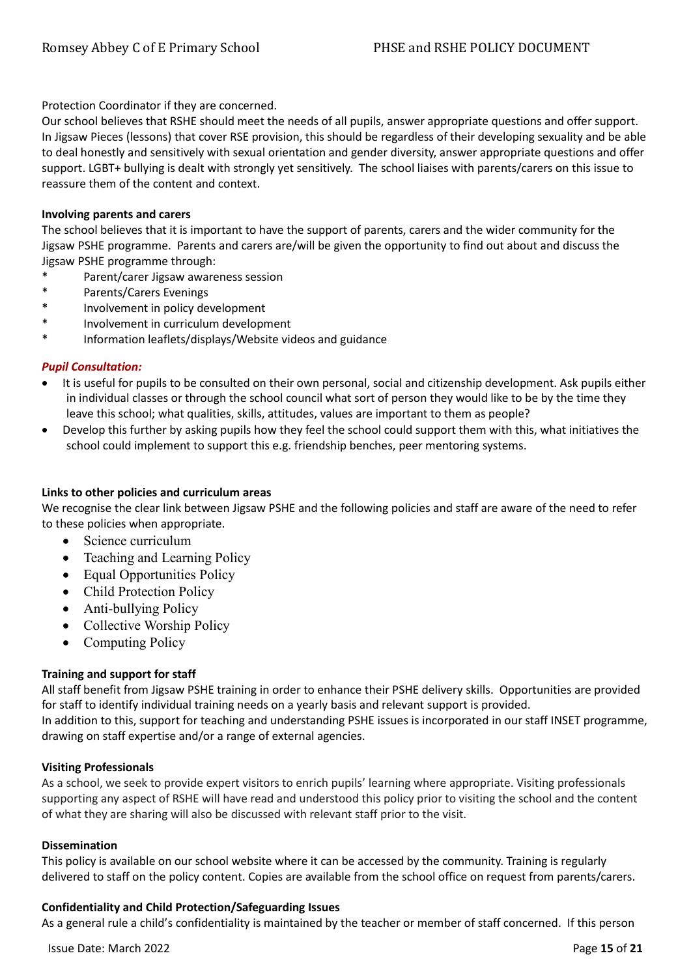Protection Coordinator if they are concerned.

Our school believes that RSHE should meet the needs of all pupils, answer appropriate questions and offer support. In Jigsaw Pieces (lessons) that cover RSE provision, this should be regardless of their developing sexuality and be able to deal honestly and sensitively with sexual orientation and gender diversity, answer appropriate questions and offer support. LGBT+ bullying is dealt with strongly yet sensitively. The school liaises with parents/carers on this issue to reassure them of the content and context.

#### **Involving parents and carers**

The school believes that it is important to have the support of parents, carers and the wider community for the Jigsaw PSHE programme. Parents and carers are/will be given the opportunity to find out about and discuss the Jigsaw PSHE programme through:

- Parent/carer Jigsaw awareness session
- Parents/Carers Evenings
- Involvement in policy development
- \* Involvement in curriculum development
- \* Information leaflets/displays/Website videos and guidance

#### *Pupil Consultation:*

- It is useful for pupils to be consulted on their own personal, social and citizenship development. Ask pupils either in individual classes or through the school council what sort of person they would like to be by the time they leave this school; what qualities, skills, attitudes, values are important to them as people?
- Develop this further by asking pupils how they feel the school could support them with this, what initiatives the school could implement to support this e.g. friendship benches, peer mentoring systems.

#### **Links to other policies and curriculum areas**

We recognise the clear link between Jigsaw PSHE and the following policies and staff are aware of the need to refer to these policies when appropriate.

- Science curriculum
- Teaching and Learning Policy
- Equal Opportunities Policy
- Child Protection Policy
- Anti-bullying Policy
- Collective Worship Policy
- Computing Policy

## **Training and support for staff**

All staff benefit from Jigsaw PSHE training in order to enhance their PSHE delivery skills. Opportunities are provided for staff to identify individual training needs on a yearly basis and relevant support is provided. In addition to this, support for teaching and understanding PSHE issues is incorporated in our staff INSET programme, drawing on staff expertise and/or a range of external agencies.

#### **Visiting Professionals**

As a school, we seek to provide expert visitors to enrich pupils' learning where appropriate. Visiting professionals supporting any aspect of RSHE will have read and understood this policy prior to visiting the school and the content of what they are sharing will also be discussed with relevant staff prior to the visit.

#### **Dissemination**

This policy is available on our school website where it can be accessed by the community. Training is regularly delivered to staff on the policy content. Copies are available from the school office on request from parents/carers.

#### **Confidentiality and Child Protection/Safeguarding Issues**

As a general rule a child's confidentiality is maintained by the teacher or member of staff concerned. If this person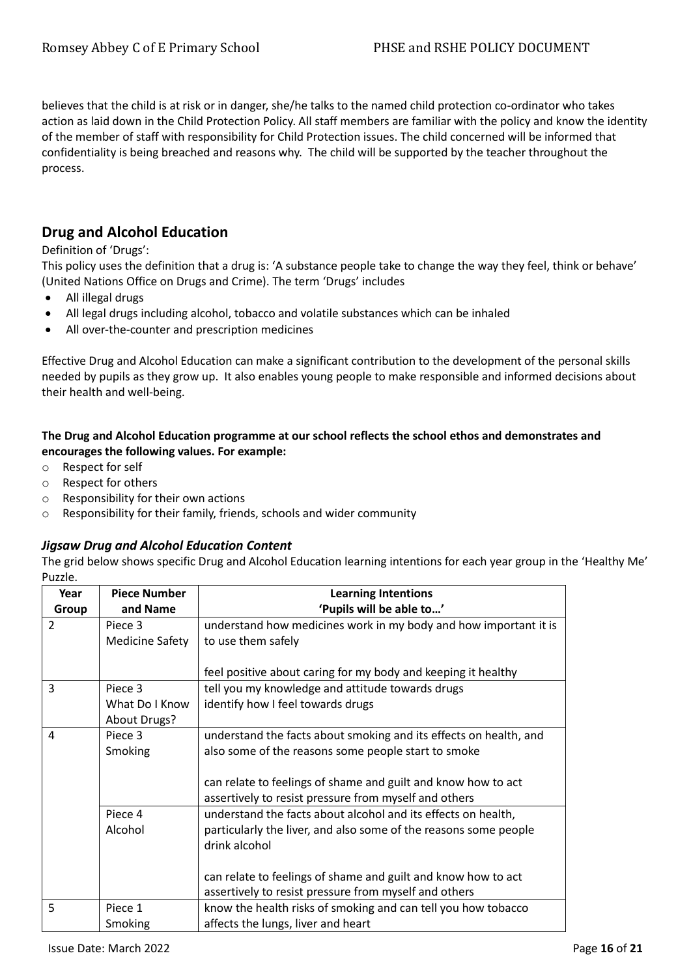believes that the child is at risk or in danger, she/he talks to the named child protection co-ordinator who takes action as laid down in the Child Protection Policy. All staff members are familiar with the policy and know the identity of the member of staff with responsibility for Child Protection issues. The child concerned will be informed that confidentiality is being breached and reasons why. The child will be supported by the teacher throughout the process.

# **Drug and Alcohol Education**

#### Definition of 'Drugs':

This policy uses the definition that a drug is: 'A substance people take to change the way they feel, think or behave' (United Nations Office on Drugs and Crime). The term 'Drugs' includes

- All illegal drugs
- All legal drugs including alcohol, tobacco and volatile substances which can be inhaled
- All over-the-counter and prescription medicines

Effective Drug and Alcohol Education can make a significant contribution to the development of the personal skills needed by pupils as they grow up. It also enables young people to make responsible and informed decisions about their health and well-being.

## **The Drug and Alcohol Education programme at our school reflects the school ethos and demonstrates and encourages the following values. For example:**

- o Respect for self
- o Respect for others
- o Responsibility for their own actions
- o Responsibility for their family, friends, schools and wider community

## *Jigsaw Drug and Alcohol Education Content*

The grid below shows specific Drug and Alcohol Education learning intentions for each year group in the 'Healthy Me' Puzzle.

| Year          | <b>Piece Number</b>    | <b>Learning Intentions</b>                                        |
|---------------|------------------------|-------------------------------------------------------------------|
| Group         | and Name               | 'Pupils will be able to'                                          |
| $\mathcal{P}$ | Piece 3                | understand how medicines work in my body and how important it is  |
|               | <b>Medicine Safety</b> | to use them safely                                                |
|               |                        |                                                                   |
|               |                        | feel positive about caring for my body and keeping it healthy     |
| 3             | Piece 3                | tell you my knowledge and attitude towards drugs                  |
|               | What Do I Know         | identify how I feel towards drugs                                 |
|               | <b>About Drugs?</b>    |                                                                   |
| 4             | Piece 3                | understand the facts about smoking and its effects on health, and |
|               | Smoking                | also some of the reasons some people start to smoke               |
|               |                        |                                                                   |
|               |                        | can relate to feelings of shame and guilt and know how to act     |
|               |                        | assertively to resist pressure from myself and others             |
|               | Piece 4                | understand the facts about alcohol and its effects on health,     |
|               | Alcohol                | particularly the liver, and also some of the reasons some people  |
|               |                        | drink alcohol                                                     |
|               |                        |                                                                   |
|               |                        | can relate to feelings of shame and guilt and know how to act     |
|               |                        | assertively to resist pressure from myself and others             |
| 5             | Piece 1                | know the health risks of smoking and can tell you how tobacco     |
|               | Smoking                | affects the lungs, liver and heart                                |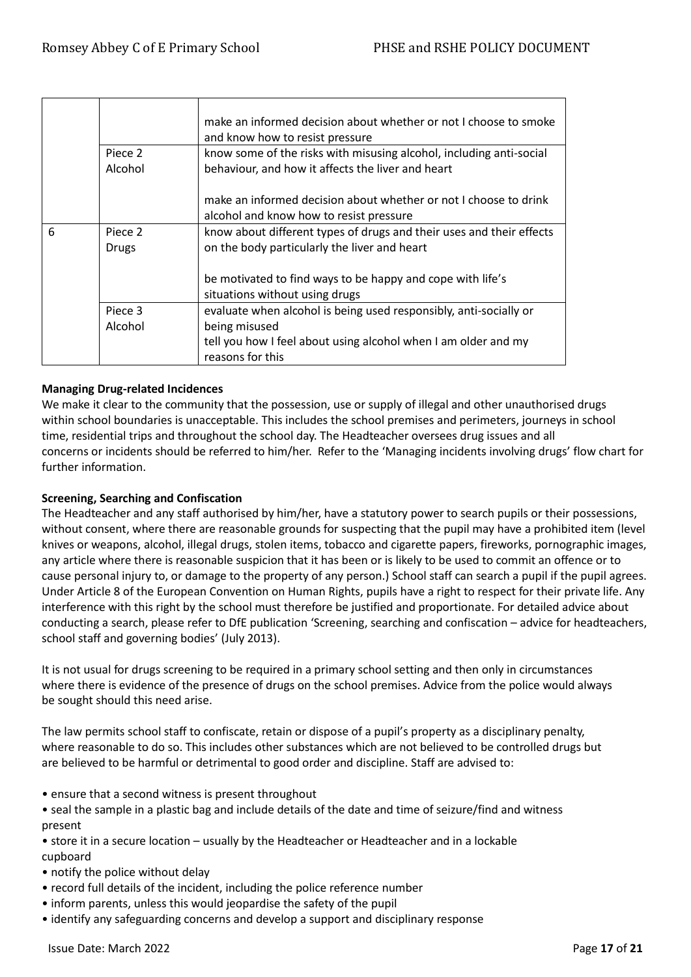|   |                    | make an informed decision about whether or not I choose to smoke<br>and know how to resist pressure                      |
|---|--------------------|--------------------------------------------------------------------------------------------------------------------------|
|   | Piece 2<br>Alcohol | know some of the risks with misusing alcohol, including anti-social<br>behaviour, and how it affects the liver and heart |
|   |                    | make an informed decision about whether or not I choose to drink<br>alcohol and know how to resist pressure              |
| 6 | Piece 2<br>Drugs   | know about different types of drugs and their uses and their effects<br>on the body particularly the liver and heart     |
|   |                    | be motivated to find ways to be happy and cope with life's<br>situations without using drugs                             |
|   | Piece 3            | evaluate when alcohol is being used responsibly, anti-socially or                                                        |
|   | Alcohol            | being misused                                                                                                            |
|   |                    | tell you how I feel about using alcohol when I am older and my<br>reasons for this                                       |

## **Managing Drug-related Incidences**

We make it clear to the community that the possession, use or supply of illegal and other unauthorised drugs within school boundaries is unacceptable. This includes the school premises and perimeters, journeys in school time, residential trips and throughout the school day. The Headteacher oversees drug issues and all concerns or incidents should be referred to him/her. Refer to the 'Managing incidents involving drugs' flow chart for further information.

## **Screening, Searching and Confiscation**

The Headteacher and any staff authorised by him/her, have a statutory power to search pupils or their possessions, without consent, where there are reasonable grounds for suspecting that the pupil may have a prohibited item (level knives or weapons, alcohol, illegal drugs, stolen items, tobacco and cigarette papers, fireworks, pornographic images, any article where there is reasonable suspicion that it has been or is likely to be used to commit an offence or to cause personal injury to, or damage to the property of any person.) School staff can search a pupil if the pupil agrees. Under Article 8 of the European Convention on Human Rights, pupils have a right to respect for their private life. Any interference with this right by the school must therefore be justified and proportionate. For detailed advice about conducting a search, please refer to DfE publication 'Screening, searching and confiscation – advice for headteachers, school staff and governing bodies' (July 2013).

It is not usual for drugs screening to be required in a primary school setting and then only in circumstances where there is evidence of the presence of drugs on the school premises. Advice from the police would always be sought should this need arise.

The law permits school staff to confiscate, retain or dispose of a pupil's property as a disciplinary penalty, where reasonable to do so. This includes other substances which are not believed to be controlled drugs but are believed to be harmful or detrimental to good order and discipline. Staff are advised to:

• ensure that a second witness is present throughout

• seal the sample in a plastic bag and include details of the date and time of seizure/find and witness present

- store it in a secure location usually by the Headteacher or Headteacher and in a lockable cupboard
- notify the police without delay
- record full details of the incident, including the police reference number
- inform parents, unless this would jeopardise the safety of the pupil
- identify any safeguarding concerns and develop a support and disciplinary response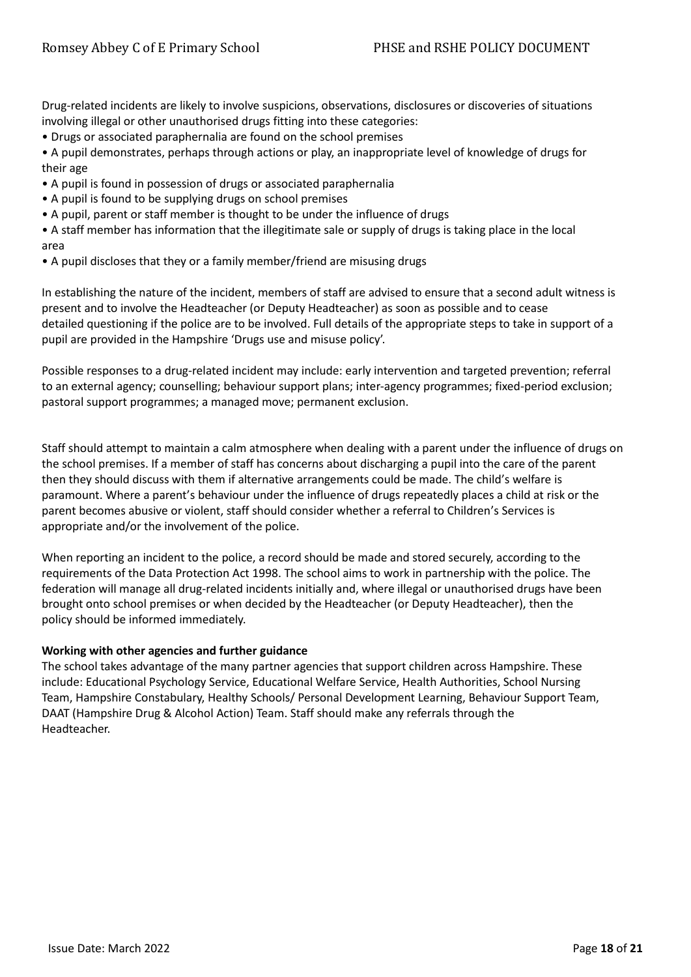Drug-related incidents are likely to involve suspicions, observations, disclosures or discoveries of situations involving illegal or other unauthorised drugs fitting into these categories:

• Drugs or associated paraphernalia are found on the school premises

• A pupil demonstrates, perhaps through actions or play, an inappropriate level of knowledge of drugs for their age

- A pupil is found in possession of drugs or associated paraphernalia
- A pupil is found to be supplying drugs on school premises
- A pupil, parent or staff member is thought to be under the influence of drugs
- A staff member has information that the illegitimate sale or supply of drugs is taking place in the local area
- A pupil discloses that they or a family member/friend are misusing drugs

In establishing the nature of the incident, members of staff are advised to ensure that a second adult witness is present and to involve the Headteacher (or Deputy Headteacher) as soon as possible and to cease detailed questioning if the police are to be involved. Full details of the appropriate steps to take in support of a pupil are provided in the Hampshire 'Drugs use and misuse policy'.

Possible responses to a drug-related incident may include: early intervention and targeted prevention; referral to an external agency; counselling; behaviour support plans; inter-agency programmes; fixed-period exclusion; pastoral support programmes; a managed move; permanent exclusion.

Staff should attempt to maintain a calm atmosphere when dealing with a parent under the influence of drugs on the school premises. If a member of staff has concerns about discharging a pupil into the care of the parent then they should discuss with them if alternative arrangements could be made. The child's welfare is paramount. Where a parent's behaviour under the influence of drugs repeatedly places a child at risk or the parent becomes abusive or violent, staff should consider whether a referral to Children's Services is appropriate and/or the involvement of the police.

When reporting an incident to the police, a record should be made and stored securely, according to the requirements of the Data Protection Act 1998. The school aims to work in partnership with the police. The federation will manage all drug-related incidents initially and, where illegal or unauthorised drugs have been brought onto school premises or when decided by the Headteacher (or Deputy Headteacher), then the policy should be informed immediately.

#### **Working with other agencies and further guidance**

The school takes advantage of the many partner agencies that support children across Hampshire. These include: Educational Psychology Service, Educational Welfare Service, Health Authorities, School Nursing Team, Hampshire Constabulary, Healthy Schools/ Personal Development Learning, Behaviour Support Team, DAAT (Hampshire Drug & Alcohol Action) Team. Staff should make any referrals through the Headteacher.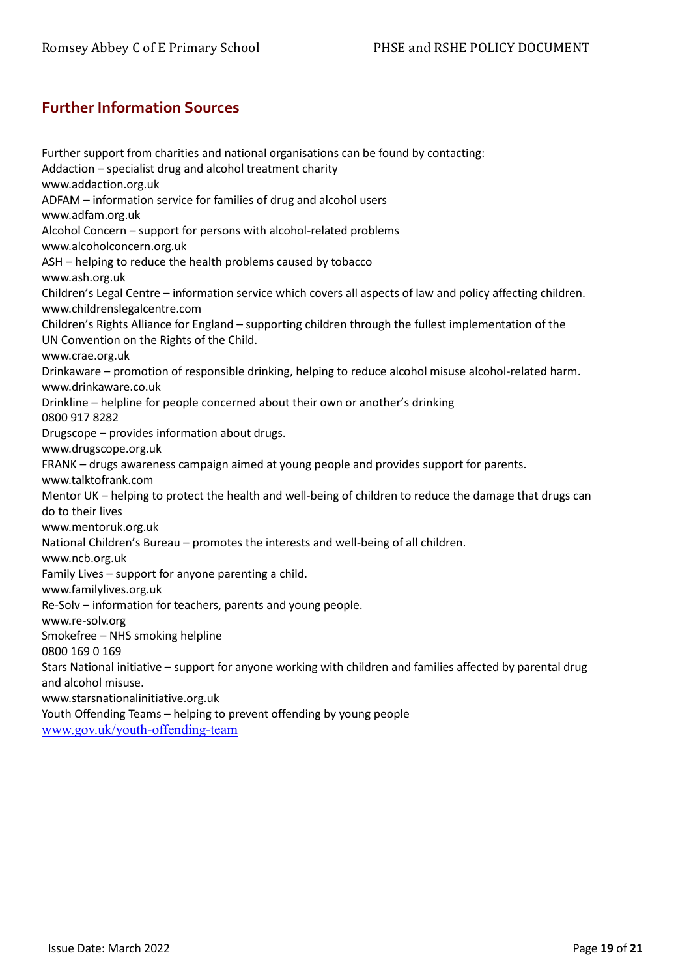# <span id="page-18-0"></span>**Further Information Sources**

Further support from charities and national organisations can be found by contacting: Addaction – specialist drug and alcohol treatment charity www.addaction.org.uk ADFAM – information service for families of drug and alcohol users www.adfam.org.uk Alcohol Concern – support for persons with alcohol-related problems www.alcoholconcern.org.uk ASH – helping to reduce the health problems caused by tobacco www.ash.org.uk Children's Legal Centre – information service which covers all aspects of law and policy affecting children. www.childrenslegalcentre.com Children's Rights Alliance for England – supporting children through the fullest implementation of the UN Convention on the Rights of the Child. www.crae.org.uk Drinkaware – promotion of responsible drinking, helping to reduce alcohol misuse alcohol-related harm. www.drinkaware.co.uk Drinkline – helpline for people concerned about their own or another's drinking 0800 917 8282 Drugscope – provides information about drugs. www.drugscope.org.uk FRANK – drugs awareness campaign aimed at young people and provides support for parents. www.talktofrank.com Mentor UK – helping to protect the health and well-being of children to reduce the damage that drugs can do to their lives www.mentoruk.org.uk National Children's Bureau – promotes the interests and well-being of all children. www.ncb.org.uk Family Lives – support for anyone parenting a child. www.familylives.org.uk Re-Solv – information for teachers, parents and young people. www.re-solv.org Smokefree – NHS smoking helpline 0800 169 0 169 Stars National initiative – support for anyone working with children and families affected by parental drug and alcohol misuse. www.starsnationalinitiative.org.uk Youth Offending Teams – helping to prevent offending by young people [www.gov.uk/youth-offending-team](http://www.gov.uk/youth-offending-team)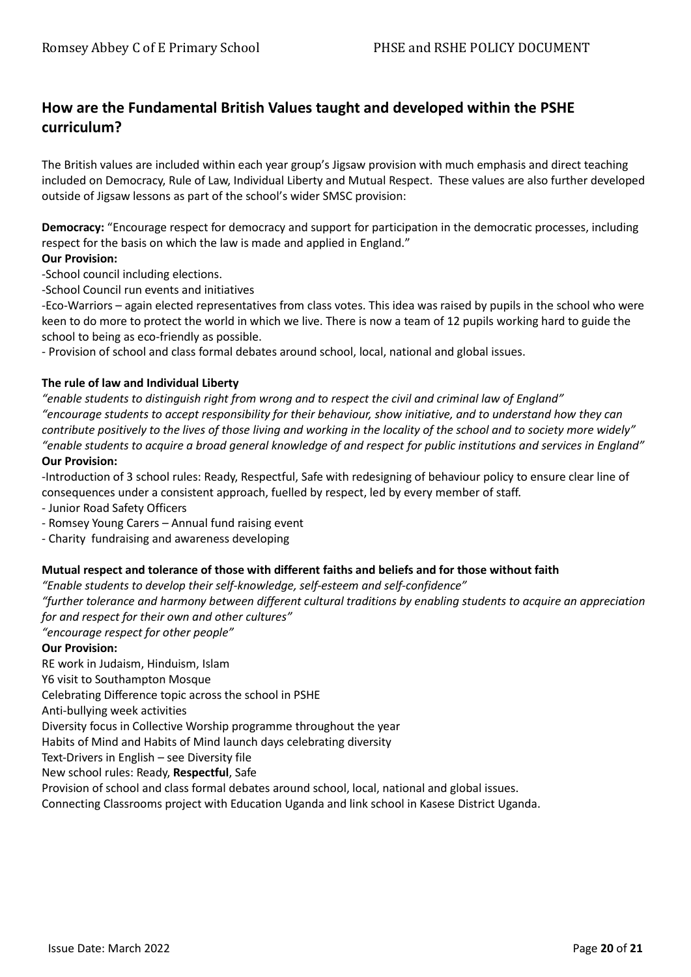# **How are the Fundamental British Values taught and developed within the PSHE curriculum?**

The British values are included within each year group's Jigsaw provision with much emphasis and direct teaching included on Democracy, Rule of Law, Individual Liberty and Mutual Respect. These values are also further developed outside of Jigsaw lessons as part of the school's wider SMSC provision:

**Democracy:** "Encourage respect for democracy and support for participation in the democratic processes, including respect for the basis on which the law is made and applied in England."

#### **Our Provision:**

-School council including elections.

-School Council run events and initiatives

-Eco-Warriors – again elected representatives from class votes. This idea was raised by pupils in the school who were keen to do more to protect the world in which we live. There is now a team of 12 pupils working hard to guide the school to being as eco-friendly as possible.

- Provision of school and class formal debates around school, local, national and global issues.

#### **The rule of law and Individual Liberty**

*"enable students to distinguish right from wrong and to respect the civil and criminal law of England" "encourage students to accept responsibility for their behaviour, show initiative, and to understand how they can contribute positively to the lives of those living and working in the locality of the school and to society more widely" "enable students to acquire a broad general knowledge of and respect for public institutions and services in England"*

#### **Our Provision:**

-Introduction of 3 school rules: Ready, Respectful, Safe with redesigning of behaviour policy to ensure clear line of consequences under a consistent approach, fuelled by respect, led by every member of staff.

- Junior Road Safety Officers

- Romsey Young Carers – Annual fund raising event

- Charity fundraising and awareness developing

#### **Mutual respect and tolerance of those with different faiths and beliefs and for those without faith**

*"Enable students to develop their self-knowledge, self-esteem and self-confidence"*

*"further tolerance and harmony between different cultural traditions by enabling students to acquire an appreciation for and respect for their own and other cultures"*

*"encourage respect for other people"*

#### **Our Provision:**

RE work in Judaism, Hinduism, Islam

Y6 visit to Southampton Mosque

Celebrating Difference topic across the school in PSHE

Anti-bullying week activities

Diversity focus in Collective Worship programme throughout the year

Habits of Mind and Habits of Mind launch days celebrating diversity

Text-Drivers in English – see Diversity file

New school rules: Ready, **Respectful**, Safe

Provision of school and class formal debates around school, local, national and global issues.

Connecting Classrooms project with Education Uganda and link school in Kasese District Uganda.